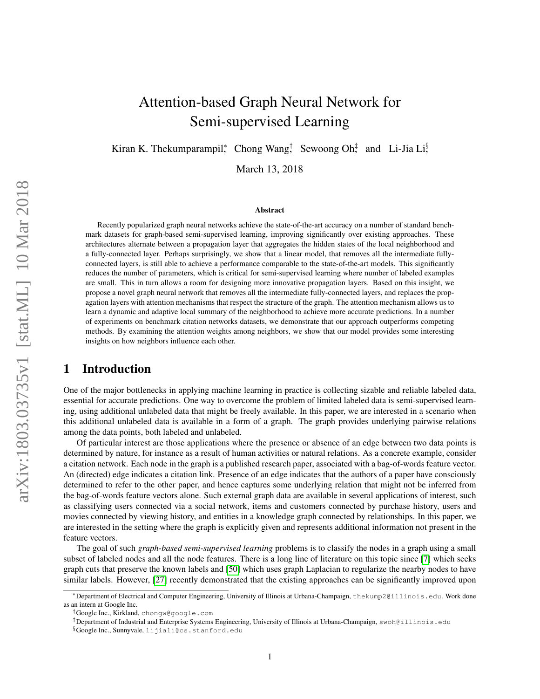# Attention-based Graph Neural Network for Semi-supervised Learning

Kiran K. Thekumparampil\*, Chong Wang<sup>†</sup>, Sewoong Oh<sup>‡</sup> and Li-Jia Li<sup>§</sup>

March 13, 2018

#### Abstract

Recently popularized graph neural networks achieve the state-of-the-art accuracy on a number of standard benchmark datasets for graph-based semi-supervised learning, improving significantly over existing approaches. These architectures alternate between a propagation layer that aggregates the hidden states of the local neighborhood and a fully-connected layer. Perhaps surprisingly, we show that a linear model, that removes all the intermediate fullyconnected layers, is still able to achieve a performance comparable to the state-of-the-art models. This significantly reduces the number of parameters, which is critical for semi-supervised learning where number of labeled examples are small. This in turn allows a room for designing more innovative propagation layers. Based on this insight, we propose a novel graph neural network that removes all the intermediate fully-connected layers, and replaces the propagation layers with attention mechanisms that respect the structure of the graph. The attention mechanism allows us to learn a dynamic and adaptive local summary of the neighborhood to achieve more accurate predictions. In a number of experiments on benchmark citation networks datasets, we demonstrate that our approach outperforms competing methods. By examining the attention weights among neighbors, we show that our model provides some interesting insights on how neighbors influence each other.

### 1 Introduction

One of the major bottlenecks in applying machine learning in practice is collecting sizable and reliable labeled data, essential for accurate predictions. One way to overcome the problem of limited labeled data is semi-supervised learning, using additional unlabeled data that might be freely available. In this paper, we are interested in a scenario when this additional unlabeled data is available in a form of a graph. The graph provides underlying pairwise relations among the data points, both labeled and unlabeled.

Of particular interest are those applications where the presence or absence of an edge between two data points is determined by nature, for instance as a result of human activities or natural relations. As a concrete example, consider a citation network. Each node in the graph is a published research paper, associated with a bag-of-words feature vector. An (directed) edge indicates a citation link. Presence of an edge indicates that the authors of a paper have consciously determined to refer to the other paper, and hence captures some underlying relation that might not be inferred from the bag-of-words feature vectors alone. Such external graph data are available in several applications of interest, such as classifying users connected via a social network, items and customers connected by purchase history, users and movies connected by viewing history, and entities in a knowledge graph connected by relationships. In this paper, we are interested in the setting where the graph is explicitly given and represents additional information not present in the feature vectors.

The goal of such *graph-based semi-supervised learning* problems is to classify the nodes in a graph using a small subset of labeled nodes and all the node features. There is a long line of literature on this topic since [\[7\]](#page-9-0) which seeks graph cuts that preserve the known labels and [\[50\]](#page-11-0) which uses graph Laplacian to regularize the nearby nodes to have similar labels. However, [\[27\]](#page-10-0) recently demonstrated that the existing approaches can be significantly improved upon

<sup>∗</sup>Department of Electrical and Computer Engineering, University of Illinois at Urbana-Champaign, thekump2@illinois.edu. Work done as an intern at Google Inc.

<sup>†</sup>Google Inc., Kirkland, chongw@google.com

<sup>‡</sup>Department of Industrial and Enterprise Systems Engineering, University of Illinois at Urbana-Champaign, swoh@illinois.edu

<sup>§</sup>Google Inc., Sunnyvale, lijiali@cs.stanford.edu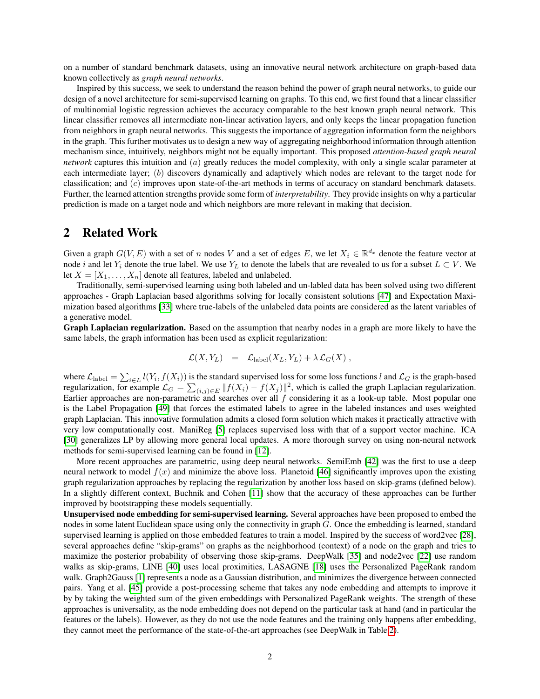on a number of standard benchmark datasets, using an innovative neural network architecture on graph-based data known collectively as *graph neural networks*.

Inspired by this success, we seek to understand the reason behind the power of graph neural networks, to guide our design of a novel architecture for semi-supervised learning on graphs. To this end, we first found that a linear classifier of multinomial logistic regression achieves the accuracy comparable to the best known graph neural network. This linear classifier removes all intermediate non-linear activation layers, and only keeps the linear propagation function from neighbors in graph neural networks. This suggests the importance of aggregation information form the neighbors in the graph. This further motivates us to design a new way of aggregating neighborhood information through attention mechanism since, intuitively, neighbors might not be equally important. This proposed *attention-based graph neural network* captures this intuition and (a) greatly reduces the model complexity, with only a single scalar parameter at each intermediate layer; (b) discovers dynamically and adaptively which nodes are relevant to the target node for classification; and (c) improves upon state-of-the-art methods in terms of accuracy on standard benchmark datasets. Further, the learned attention strengths provide some form of *interpretability*. They provide insights on why a particular prediction is made on a target node and which neighbors are more relevant in making that decision.

### 2 Related Work

Given a graph  $G(V, E)$  with a set of n nodes V and a set of edges E, we let  $X_i \in \mathbb{R}^{d_x}$  denote the feature vector at node i and let  $Y_i$  denote the true label. We use  $Y_L$  to denote the labels that are revealed to us for a subset  $L \subset V$ . We let  $X = [X_1, \ldots, X_n]$  denote all features, labeled and unlabeled.

Traditionally, semi-supervised learning using both labeled and un-labled data has been solved using two different approaches - Graph Laplacian based algorithms solving for locally consistent solutions [\[47\]](#page-11-1) and Expectation Maximization based algorithms [\[33\]](#page-11-2) where true-labels of the unlabeled data points are considered as the latent variables of a generative model.

Graph Laplacian regularization. Based on the assumption that nearby nodes in a graph are more likely to have the same labels, the graph information has been used as explicit regularization:

$$
\mathcal{L}(X,Y_L) = \mathcal{L}_{\text{label}}(X_L,Y_L) + \lambda \mathcal{L}_G(X) ,
$$

where  $\mathcal{L}_{\text{label}} = \sum_{i \in L} l(Y_i, f(X_i))$  is the standard supervised loss for some loss functions l and  $\mathcal{L}_G$  is the graph-based regularization, for example  $\mathcal{L}_G = \sum_{(i,j) \in E} ||f(X_i) - f(X_j)||^2$ , which is called the graph Laplacian regularization. Earlier approaches are non-parametric and searches over all  $f$  considering it as a look-up table. Most popular one is the Label Propagation [\[49\]](#page-11-3) that forces the estimated labels to agree in the labeled instances and uses weighted graph Laplacian. This innovative formulation admits a closed form solution which makes it practically attractive with very low computationally cost. ManiReg [\[5\]](#page-9-1) replaces supervised loss with that of a support vector machine. ICA [\[30\]](#page-10-1) generalizes LP by allowing more general local updates. A more thorough survey on using non-neural network methods for semi-supervised learning can be found in [\[12\]](#page-10-2).

More recent approaches are parametric, using deep neural networks. SemiEmb [\[42\]](#page-11-4) was the first to use a deep neural network to model  $f(x)$  and minimize the above loss. Planetoid [\[46\]](#page-11-5) significantly improves upon the existing graph regularization approaches by replacing the regularization by another loss based on skip-grams (defined below). In a slightly different context, Buchnik and Cohen [\[11\]](#page-10-3) show that the accuracy of these approaches can be further improved by bootstrapping these models sequentially.

Unsupervised node embedding for semi-supervised learning. Several approaches have been proposed to embed the nodes in some latent Euclidean space using only the connectivity in graph G. Once the embedding is learned, standard supervised learning is applied on those embedded features to train a model. Inspired by the success of word2vec [\[28\]](#page-10-4), several approaches define "skip-grams" on graphs as the neighborhood (context) of a node on the graph and tries to maximize the posterior probability of observing those skip-grams. DeepWalk [\[35\]](#page-11-6) and node2vec [\[22\]](#page-10-5) use random walks as skip-grams, LINE [\[40\]](#page-11-7) uses local proximities, LASAGNE [\[18\]](#page-10-6) uses the Personalized PageRank random walk. Graph2Gauss [\[1\]](#page-9-2) represents a node as a Gaussian distribution, and minimizes the divergence between connected pairs. Yang et al. [\[45\]](#page-11-8) provide a post-processing scheme that takes any node embedding and attempts to improve it by by taking the weighted sum of the given embeddings with Personalized PageRank weights. The strength of these approaches is universality, as the node embedding does not depend on the particular task at hand (and in particular the features or the labels). However, as they do not use the node features and the training only happens after embedding, they cannot meet the performance of the state-of-the-art approaches (see DeepWalk in Table [2\)](#page-5-0).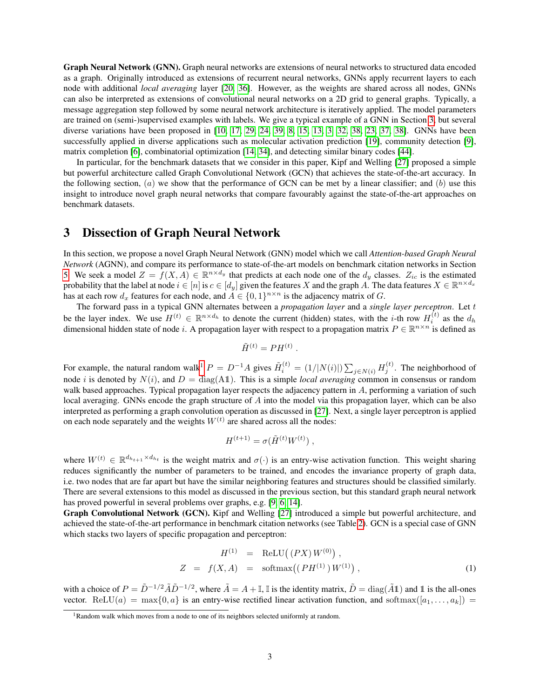Graph Neural Network (GNN). Graph neural networks are extensions of neural networks to structured data encoded as a graph. Originally introduced as extensions of recurrent neural networks, GNNs apply recurrent layers to each node with additional *local averaging* layer [\[20,](#page-10-7) [36\]](#page-11-9). However, as the weights are shared across all nodes, GNNs can also be interpreted as extensions of convolutional neural networks on a 2D grid to general graphs. Typically, a message aggregation step followed by some neural network architecture is iteratively applied. The model parameters are trained on (semi-)supervised examples with labels. We give a typical example of a GNN in Section [3,](#page-2-0) but several diverse variations have been proposed in [\[10,](#page-10-8) [17,](#page-10-9) [29,](#page-10-10) [24,](#page-10-11) [39,](#page-11-10) [8,](#page-9-3) [15,](#page-10-12) [13,](#page-10-13) [3,](#page-9-4) [32,](#page-10-14) [38,](#page-11-11) [23,](#page-10-15) [37,](#page-11-12) [38\]](#page-11-11). GNNs have been successfully applied in diverse applications such as molecular activation prediction [\[19\]](#page-10-16), community detection [\[9\]](#page-10-17), matrix completion [\[6\]](#page-9-5), combinatorial optimization [\[14,](#page-10-18) [34\]](#page-11-13), and detecting similar binary codes [\[44\]](#page-11-14).

In particular, for the benchmark datasets that we consider in this paper, Kipf and Welling [\[27\]](#page-10-0) proposed a simple but powerful architecture called Graph Convolutional Network (GCN) that achieves the state-of-the-art accuracy. In the following section,  $(a)$  we show that the performance of GCN can be met by a linear classifier; and  $(b)$  use this insight to introduce novel graph neural networks that compare favourably against the state-of-the-art approaches on benchmark datasets.

### <span id="page-2-0"></span>3 Dissection of Graph Neural Network

In this section, we propose a novel Graph Neural Network (GNN) model which we call *Attention-based Graph Neural Network* (AGNN), and compare its performance to state-of-the-art models on benchmark citation networks in Section [5.](#page-4-0) We seek a model  $Z = f(X, A) \in \mathbb{R}^{n \times d_y}$  that predicts at each node one of the  $d_y$  classes.  $Z_{ic}$  is the estimated probability that the label at node  $i\in [n]$  is  $c\in [d_y]$  given the features  $X$  and the graph  $A$ . The data features  $X\in \R^{n\times d_x}$ has at each row  $d_x$  features for each node, and  $A \in \{0,1\}^{n \times n}$  is the adjacency matrix of G.

The forward pass in a typical GNN alternates between a *propagation layer* and a *single layer perceptron*. Let t be the layer index. We use  $H^{(t)} \in \mathbb{R}^{n \times d_h}$  to denote the current (hidden) states, with the *i*-th row  $H_i^{(t)}$  as the  $d_h$ dimensional hidden state of node i. A propagation layer with respect to a propagation matrix  $P \in \mathbb{R}^{n \times n}$  is defined as

$$
\tilde{H}^{(t)} = PH^{(t)}
$$

.

For example, the natural random walk<sup>[1](#page-2-1)</sup>  $P = D^{-1}A$  gives  $\tilde{H}_i^{(t)} = (1/|N(i)|) \sum_{j \in N(i)} H_j^{(t)}$ . The neighborhood of node i is denoted by  $N(i)$ , and  $D = \text{diag}(A1)$ . This is a simple *local averaging* common in consensus or random walk based approaches. Typical propagation layer respects the adjacency pattern in A, performing a variation of such local averaging. GNNs encode the graph structure of A into the model via this propagation layer, which can be also interpreted as performing a graph convolution operation as discussed in [\[27\]](#page-10-0). Next, a single layer perceptron is applied on each node separately and the weights  $W^{(t)}$  are shared across all the nodes:

$$
H^{(t+1)} = \sigma(\tilde{H}^{(t)}W^{(t)}),
$$

where  $W^{(t)} \in \mathbb{R}^{d_{h_{t+1}} \times d_{h_t}}$  is the weight matrix and  $\sigma(\cdot)$  is an entry-wise activation function. This weight sharing reduces significantly the number of parameters to be trained, and encodes the invariance property of graph data, i.e. two nodes that are far apart but have the similar neighboring features and structures should be classified similarly. There are several extensions to this model as discussed in the previous section, but this standard graph neural network has proved powerful in several problems over graphs, e.g. [\[9,](#page-10-17) [6,](#page-9-5) [14\]](#page-10-18).

Graph Convolutional Network (GCN). Kipf and Welling [\[27\]](#page-10-0) introduced a simple but powerful architecture, and achieved the state-of-the-art performance in benchmark citation networks (see Table [2\)](#page-5-0). GCN is a special case of GNN which stacks two layers of specific propagation and perceptron:

<span id="page-2-2"></span>
$$
H^{(1)} = \text{ReLU}((PX)W^{(0)}),
$$
  
\n
$$
Z = f(X, A) = \text{softmax}((PH^{(1)})W^{(1)}),
$$
\n(1)

with a choice of  $P = \tilde{D}^{-1/2} \tilde{A} \tilde{D}^{-1/2}$ , where  $\tilde{A} = A + \mathbb{I}$ ,  $\mathbb{I}$  is the identity matrix,  $\tilde{D} = \text{diag}(\tilde{A} \mathbb{1})$  and  $\mathbb{1}$  is the all-ones vector. ReLU(a) = max{0, a} is an entry-wise rectified linear activation function, and softmax([a<sub>1</sub>, ..., a<sub>k</sub>]) =

<span id="page-2-1"></span><sup>&</sup>lt;sup>1</sup>Random walk which moves from a node to one of its neighbors selected uniformly at random.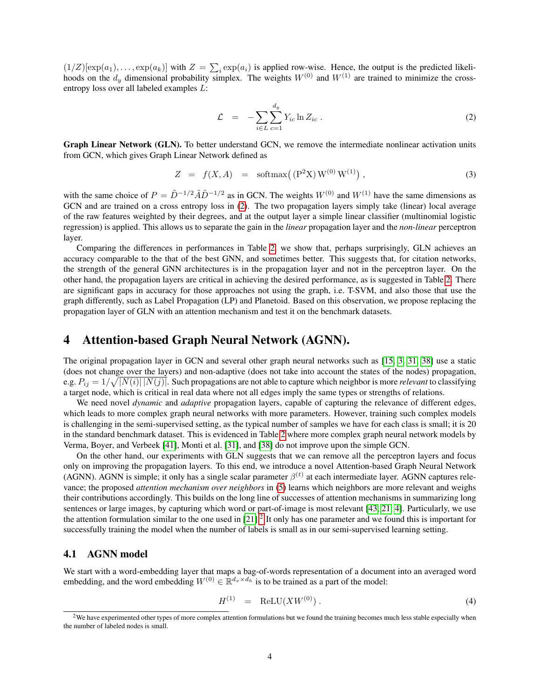$(1/Z)[\exp(a_1), \ldots, \exp(a_k)]$  with  $Z = \sum_i \exp(a_i)$  is applied row-wise. Hence, the output is the predicted likelihoods on the  $d_y$  dimensional probability simplex. The weights  $W^{(0)}$  and  $W^{(1)}$  are trained to minimize the crossentropy loss over all labeled examples L:

<span id="page-3-0"></span>
$$
\mathcal{L} = -\sum_{i \in L} \sum_{c=1}^{d_y} Y_{ic} \ln Z_{ic} . \qquad (2)
$$

Graph Linear Network (GLN). To better understand GCN, we remove the intermediate nonlinear activation units from GCN, which gives Graph Linear Network defined as

<span id="page-3-2"></span>
$$
Z = f(X, A) = \text{softmax}((P^2 X) W^{(0)} W^{(1)}), \qquad (3)
$$

with the same choice of  $P = \tilde{D}^{-1/2} \tilde{A} \tilde{D}^{-1/2}$  as in GCN. The weights  $W^{(0)}$  and  $W^{(1)}$  have the same dimensions as GCN and are trained on a cross entropy loss in [\(2\)](#page-3-0). The two propagation layers simply take (linear) local average of the raw features weighted by their degrees, and at the output layer a simple linear classifier (multinomial logistic regression) is applied. This allows us to separate the gain in the *linear* propagation layer and the *non-linear* perceptron layer.

Comparing the differences in performances in Table [2,](#page-5-0) we show that, perhaps surprisingly, GLN achieves an accuracy comparable to the that of the best GNN, and sometimes better. This suggests that, for citation networks, the strength of the general GNN architectures is in the propagation layer and not in the perceptron layer. On the other hand, the propagation layers are critical in achieving the desired performance, as is suggested in Table [2.](#page-5-0) There are significant gaps in accuracy for those approaches not using the graph, i.e. T-SVM, and also those that use the graph differently, such as Label Propagation (LP) and Planetoid. Based on this observation, we propose replacing the propagation layer of GLN with an attention mechanism and test it on the benchmark datasets.

### 4 Attention-based Graph Neural Network (AGNN).

The original propagation layer in GCN and several other graph neural networks such as [\[15,](#page-10-12) [3,](#page-9-4) [31,](#page-10-19) [38\]](#page-11-11) use a static (does not change over the layers) and non-adaptive (does not take into account the states of the nodes) propagation, e.g.  $P_{ij} = 1/\sqrt{|N(i)| |N(j)|}$ . Such propagations are not able to capture which neighbor is more *relevant* to classifying a target node, which is critical in real data where not all edges imply the same types or strengths of relations.

We need novel *dynamic* and *adaptive* propagation layers, capable of capturing the relevance of different edges, which leads to more complex graph neural networks with more parameters. However, training such complex models is challenging in the semi-supervised setting, as the typical number of samples we have for each class is small; it is 20 in the standard benchmark dataset. This is evidenced in Table [2](#page-5-0) where more complex graph neural network models by Verma, Boyer, and Verbeek [\[41\]](#page-11-15), Monti et al. [\[31\]](#page-10-19), and [\[38\]](#page-11-11) do not improve upon the simple GCN.

On the other hand, our experiments with GLN suggests that we can remove all the perceptron layers and focus only on improving the propagation layers. To this end, we introduce a novel Attention-based Graph Neural Network (AGNN). AGNN is simple; it only has a single scalar parameter  $\beta^{(t)}$  at each intermediate layer. AGNN captures relevance; the proposed *attention mechanism over neighbors* in [\(5\)](#page-4-1) learns which neighbors are more relevant and weighs their contributions accordingly. This builds on the long line of successes of attention mechanisms in summarizing long sentences or large images, by capturing which word or part-of-image is most relevant [\[43,](#page-11-16) [21,](#page-10-20) [4\]](#page-9-6). Particularly, we use the attention formulation similar to the one used in  $[21]$ .<sup>[2](#page-3-1)</sup> It only has one parameter and we found this is important for successfully training the model when the number of labels is small as in our semi-supervised learning setting.

#### 4.1 AGNN model

We start with a word-embedding layer that maps a bag-of-words representation of a document into an averaged word embedding, and the word embedding  $W^{(0)} \in \mathbb{R}^{d_x \times d_h}$  is to be trained as a part of the model:

$$
H^{(1)} = \text{ReLU}(XW^{(0)})\,. \tag{4}
$$

<span id="page-3-1"></span><sup>&</sup>lt;sup>2</sup>We have experimented other types of more complex attention formulations but we found the training becomes much less stable especially when the number of labeled nodes is small.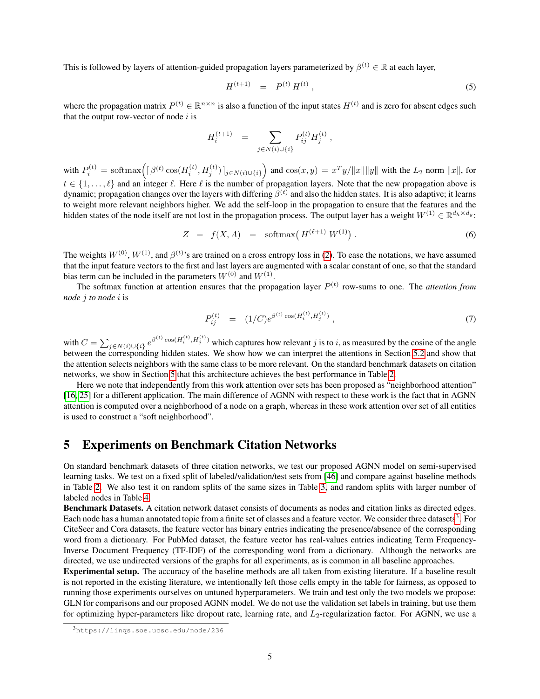This is followed by layers of attention-guided propagation layers parameterized by  $\beta^{(t)} \in \mathbb{R}$  at each layer,

<span id="page-4-1"></span>
$$
H^{(t+1)} = P^{(t)} H^{(t)}, \tag{5}
$$

where the propagation matrix  $P^{(t)} \in \mathbb{R}^{n \times n}$  is also a function of the input states  $H^{(t)}$  and is zero for absent edges such that the output row-vector of node  $i$  is

$$
H_i^{(t+1)} = \sum_{j \in N(i) \cup \{i\}} P_{ij}^{(t)} H_j^{(t)} ,
$$

with  $P_i^{(t)} = \text{softmax}\Big(\big[\beta^{(t)}\cos(H_i^{(t)}, H_j^{(t)})\big]_{j \in N(i) \cup \{i\}}\Big)$  and  $\cos(x, y) = x^T y / ||x|| ||y||$  with the  $L_2$  norm  $||x||$ , for  $t \in \{1, \ldots, \ell\}$  and an integer  $\ell$ . Here  $\ell$  is the number of propagation layers. Note that the new propagation above is dynamic; propagation changes over the layers with differing  $\beta^{(t)}$  and also the hidden states. It is also adaptive; it learns to weight more relevant neighbors higher. We add the self-loop in the propagation to ensure that the features and the hidden states of the node itself are not lost in the propagation process. The output layer has a weight  $W^{(1)} \in \mathbb{R}^{d_h \times d_y}$ :

<span id="page-4-4"></span>
$$
Z = f(X, A) = \text{softmax}(H^{(\ell+1)} W^{(1)}) . \tag{6}
$$

The weights  $W^{(0)}$ ,  $W^{(1)}$ , and  $\beta^{(t)}$ 's are trained on a cross entropy loss in [\(2\)](#page-3-0). To ease the notations, we have assumed that the input feature vectors to the first and last layers are augmented with a scalar constant of one, so that the standard bias term can be included in the parameters  $W^{(0)}$  and  $W^{(1)}$ .

The softmax function at attention ensures that the propagation layer  $P^{(t)}$  row-sums to one. The *attention from node* j *to node* i is

<span id="page-4-3"></span>
$$
P_{ij}^{(t)} = (1/C)e^{\beta^{(t)}\cos(H_i^{(t)}, H_j^{(t)})}, \qquad (7)
$$

with  $C = \sum_{j \in N(i) \cup \{i\}} e^{\beta^{(t)} \cos(H_i^{(t)}, H_j^{(t)})}$  which captures how relevant j is to i, as measured by the cosine of the angle between the corresponding hidden states. We show how we can interpret the attentions in Section [5.2](#page-6-0) and show that the attention selects neighbors with the same class to be more relevant. On the standard benchmark datasets on citation networks, we show in Section [5](#page-4-0) that this architecture achieves the best performance in Table [2.](#page-5-0)

Here we note that independently from this work attention over sets has been proposed as "neighborhood attention" [\[16,](#page-10-21) [25\]](#page-10-22) for a different application. The main difference of AGNN with respect to these work is the fact that in AGNN attention is computed over a neighborhood of a node on a graph, whereas in these work attention over set of all entities is used to construct a "soft neighborhood".

### <span id="page-4-0"></span>5 Experiments on Benchmark Citation Networks

On standard benchmark datasets of three citation networks, we test our proposed AGNN model on semi-supervised learning tasks. We test on a fixed split of labeled/validation/test sets from [\[46\]](#page-11-5) and compare against baseline methods in Table [2.](#page-5-0) We also test it on random splits of the same sizes in Table [3,](#page-6-1) and random splits with larger number of labeled nodes in Table [4.](#page-6-2)

Benchmark Datasets. A citation network dataset consists of documents as nodes and citation links as directed edges. Each node has a human annotated topic from a finite set of classes and a feature vector. We consider three datasets<sup>[3](#page-4-2)</sup>. For CiteSeer and Cora datasets, the feature vector has binary entries indicating the presence/absence of the corresponding word from a dictionary. For PubMed dataset, the feature vector has real-values entries indicating Term Frequency-Inverse Document Frequency (TF-IDF) of the corresponding word from a dictionary. Although the networks are directed, we use undirected versions of the graphs for all experiments, as is common in all baseline approaches.

Experimental setup. The accuracy of the baseline methods are all taken from existing literature. If a baseline result is not reported in the existing literature, we intentionally left those cells empty in the table for fairness, as opposed to running those experiments ourselves on untuned hyperparameters. We train and test only the two models we propose: GLN for comparisons and our proposed AGNN model. We do not use the validation set labels in training, but use them for optimizing hyper-parameters like dropout rate, learning rate, and  $L_2$ -regularization factor. For AGNN, we use a

<span id="page-4-2"></span><sup>3</sup>https://linqs.soe.ucsc.edu/node/236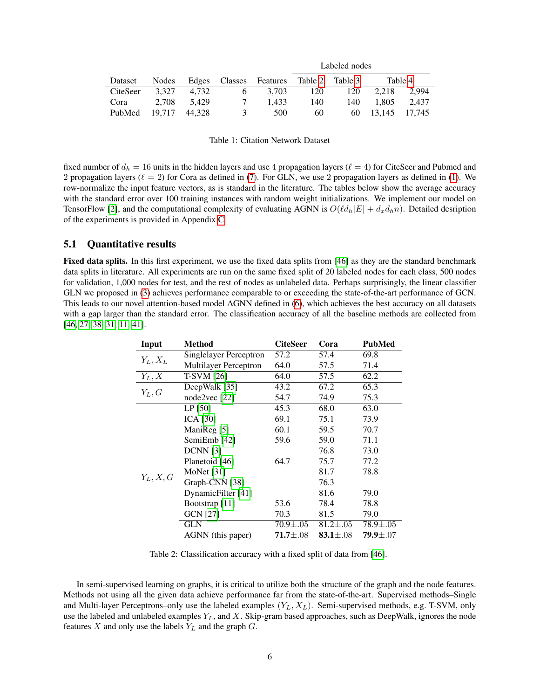|          |        |        |              |          | Labeled nodes |         |        |         |
|----------|--------|--------|--------------|----------|---------------|---------|--------|---------|
| Dataset  | Nodes  | Edges  | Classes      | Features | Table 2       | Table 3 |        | Table 4 |
| CiteSeer | 3.327  | 4.732  | 6            | 3.703    | 120           | 120     | 2.218  | 2.994   |
| Cora     | 2.708  | 5.429  |              | 1.433    | 140           | 140     | 1.805  | 2.437   |
| PubMed   | 19.717 | 44.328 | $\mathbf{z}$ | 500      | 60            | 60      | 13.145 | 17.745  |

Table 1: Citation Network Dataset

fixed number of  $d_h = 16$  units in the hidden layers and use 4 propagation layers ( $\ell = 4$ ) for CiteSeer and Pubmed and 2 propagation layers ( $\ell = 2$ ) for Cora as defined in [\(7\)](#page-4-3). For GLN, we use 2 propagation layers as defined in [\(1\)](#page-2-2). We row-normalize the input feature vectors, as is standard in the literature. The tables below show the average accuracy with the standard error over 100 training instances with random weight initializations. We implement our model on TensorFlow [\[2\]](#page-9-7), and the computational complexity of evaluating AGNN is  $O(\ell d_h|E| + d_x d_h n)$ . Detailed desription of the experiments is provided in Appendix [C.](#page-13-0)

#### <span id="page-5-1"></span>5.1 Quantitative results

Fixed data splits. In this first experiment, we use the fixed data splits from [\[46\]](#page-11-5) as they are the standard benchmark data splits in literature. All experiments are run on the same fixed split of 20 labeled nodes for each class, 500 nodes for validation, 1,000 nodes for test, and the rest of nodes as unlabeled data. Perhaps surprisingly, the linear classifier GLN we proposed in [\(3\)](#page-3-2) achieves performance comparable to or exceeding the state-of-the-art performance of GCN. This leads to our novel attention-based model AGNN defined in [\(6\)](#page-4-4), which achieves the best accuracy on all datasets with a gap larger than the standard error. The classification accuracy of all the baseline methods are collected from [\[46,](#page-11-5) [27,](#page-10-0) [38,](#page-11-11) [31,](#page-10-19) [11,](#page-10-3) [41\]](#page-11-15).

| Input       | Method                       | <b>CiteSeer</b> | Cora           | PubMed         |
|-------------|------------------------------|-----------------|----------------|----------------|
|             | Singlelayer Perceptron       | 57.2            | 57.4           | 69.8           |
| $Y_L, X_L$  | <b>Multilayer Perceptron</b> | 64.0            | 57.5           | 71.4           |
| $Y_L, X$    | $T-SVM$ [26]                 | 64.0            | 57.5           | 62.2           |
| $Y_L, G$    | DeepWalk [35]                | 43.2            | 67.2           | 65.3           |
|             | node2vec $[22]$              | 54.7            | 74.9           | 75.3           |
|             | $LP$ [50]                    | 45.3            | 68.0           | 63.0           |
|             | ICA $[30]$                   | 69.1            | 75.1           | 73.9           |
|             | ManiReg [5]                  | 60.1            | 59.5           | 70.7           |
|             | SemiEmb [42]                 | 59.6            | 59.0           | 71.1           |
|             | <b>DCNN</b> [3]              |                 | 76.8           | 73.0           |
|             | Planetoid [46]               | 64.7            | 75.7           | 77.2           |
|             | MoNet [31]                   |                 | 81.7           | 78.8           |
| $Y_L, X, G$ | Graph-CNN [38]               |                 | 76.3           |                |
|             | DynamicFilter [41]           |                 | 81.6           | 79.0           |
|             | Bootstrap [11]               | 53.6            | 78.4           | 78.8           |
|             | GCN [27]                     | 70.3            | 81.5           | 79.0           |
|             | GLN                          | $70.9 \pm .05$  | $81.2 \pm .05$ | 78.9±.05       |
|             | AGNN (this paper)            | $71.7 \pm .08$  | $83.1 \pm .08$ | 79.9 $\pm .07$ |

<span id="page-5-0"></span>Table 2: Classification accuracy with a fixed split of data from [\[46\]](#page-11-5).

In semi-supervised learning on graphs, it is critical to utilize both the structure of the graph and the node features. Methods not using all the given data achieve performance far from the state-of-the-art. Supervised methods–Single and Multi-layer Perceptrons–only use the labeled examples  $(Y_L, X_L)$ . Semi-supervised methods, e.g. T-SVM, only use the labeled and unlabeled examples  $Y_L$ , and X. Skip-gram based approaches, such as DeepWalk, ignores the node features X and only use the labels  $Y_L$  and the graph  $G$ .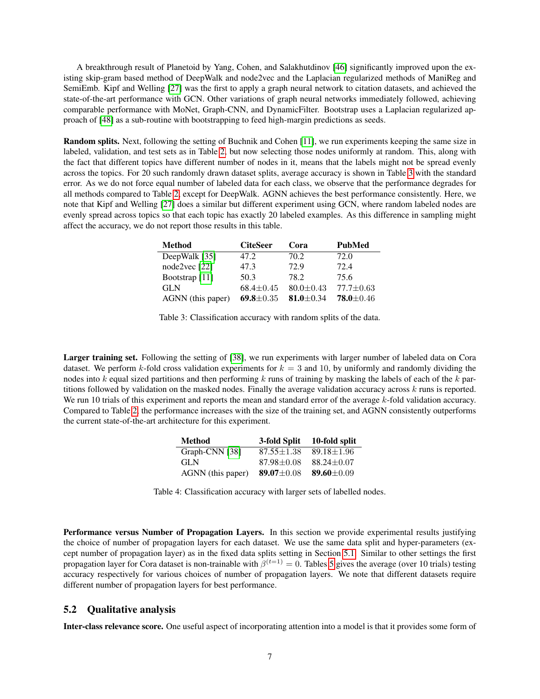A breakthrough result of Planetoid by Yang, Cohen, and Salakhutdinov [\[46\]](#page-11-5) significantly improved upon the existing skip-gram based method of DeepWalk and node2vec and the Laplacian regularized methods of ManiReg and SemiEmb. Kipf and Welling [\[27\]](#page-10-0) was the first to apply a graph neural network to citation datasets, and achieved the state-of-the-art performance with GCN. Other variations of graph neural networks immediately followed, achieving comparable performance with MoNet, Graph-CNN, and DynamicFilter. Bootstrap uses a Laplacian regularized approach of [\[48\]](#page-11-17) as a sub-routine with bootstrapping to feed high-margin predictions as seeds.

Random splits. Next, following the setting of Buchnik and Cohen [\[11\]](#page-10-3), we run experiments keeping the same size in labeled, validation, and test sets as in Table [2,](#page-5-0) but now selecting those nodes uniformly at random. This, along with the fact that different topics have different number of nodes in it, means that the labels might not be spread evenly across the topics. For 20 such randomly drawn dataset splits, average accuracy is shown in Table [3](#page-6-1) with the standard error. As we do not force equal number of labeled data for each class, we observe that the performance degrades for all methods compared to Table [2,](#page-5-0) except for DeepWalk. AGNN achieves the best performance consistently. Here, we note that Kipf and Welling [\[27\]](#page-10-0) does a similar but different experiment using GCN, where random labeled nodes are evenly spread across topics so that each topic has exactly 20 labeled examples. As this difference in sampling might affect the accuracy, we do not report those results in this table.

<span id="page-6-1"></span>

| <b>Method</b>             | <b>CiteSeer</b> | Cora            | <b>PubMed</b>   |
|---------------------------|-----------------|-----------------|-----------------|
| DeepWalk [35]             | 47.2            | 70.2            | 72.0            |
| node2vec $[22]$           | 47.3            | 72.9            | 72.4            |
| Bootstrap <sup>[11]</sup> | 50.3            | 78.2            | 75.6            |
| <b>GLN</b>                | $68.4 \pm 0.45$ | $80.0 \pm 0.43$ | $77.7 \pm 0.63$ |
| AGNN (this paper)         | 69.8 $\pm$ 0.35 | 81.0 $\pm$ 0.34 | $78.0 \pm 0.46$ |

Table 3: Classification accuracy with random splits of the data.

Larger training set. Following the setting of [\[38\]](#page-11-11), we run experiments with larger number of labeled data on Cora dataset. We perform k-fold cross validation experiments for  $k = 3$  and 10, by uniformly and randomly dividing the nodes into k equal sized partitions and then performing  $k$  runs of training by masking the labels of each of the  $k$  partitions followed by validation on the masked nodes. Finally the average validation accuracy across  $k$  runs is reported. We run 10 trials of this experiment and reports the mean and standard error of the average k-fold validation accuracy. Compared to Table [2,](#page-5-0) the performance increases with the size of the training set, and AGNN consistently outperforms the current state-of-the-art architecture for this experiment.

<span id="page-6-2"></span>

| <b>Method</b>     | 3-fold Split     | 10-fold split    |
|-------------------|------------------|------------------|
| Graph-CNN [38]    | $87.55 \pm 1.38$ | $89.18 \pm 1.96$ |
| GL N              | $87.98 \pm 0.08$ | $88.24 \pm 0.07$ |
| AGNN (this paper) | 89.07 $\pm$ 0.08 | 89.60 $\pm$ 0.09 |

Table 4: Classification accuracy with larger sets of labelled nodes.

Performance versus Number of Propagation Layers. In this section we provide experimental results justifying the choice of number of propagation layers for each dataset. We use the same data split and hyper-parameters (except number of propagation layer) as in the fixed data splits setting in Section [5.1.](#page-5-1) Similar to other settings the first propagation layer for Cora dataset is non-trainable with  $\beta^{(t=1)} = 0$ . Tables [5](#page-7-0) gives the average (over 10 trials) testing accuracy respectively for various choices of number of propagation layers. We note that different datasets require different number of propagation layers for best performance.

#### <span id="page-6-0"></span>5.2 Qualitative analysis

Inter-class relevance score. One useful aspect of incorporating attention into a model is that it provides some form of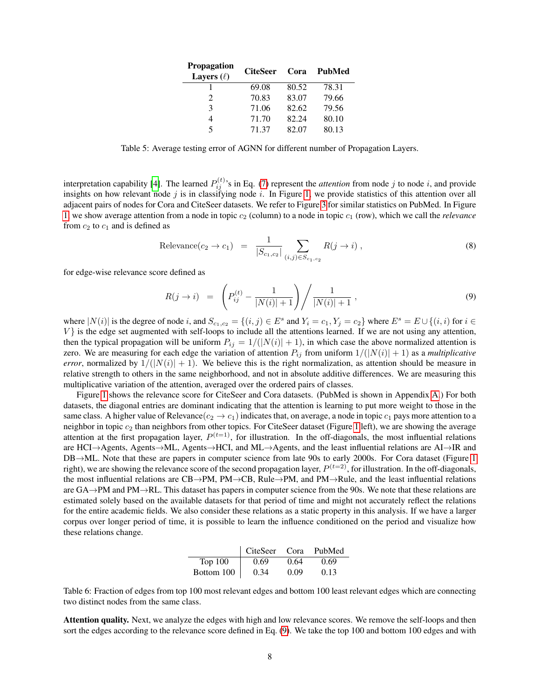<span id="page-7-0"></span>

| <b>Propagation</b><br>Layers $(\ell)$ | <b>CiteSeer</b> | Cora  | PubMed |
|---------------------------------------|-----------------|-------|--------|
|                                       | 69.08           | 80.52 | 78.31  |
| $\mathfrak{D}$                        | 70.83           | 83.07 | 79.66  |
| 3                                     | 71.06           | 82.62 | 79.56  |
| 4                                     | 71.70           | 82.24 | 80.10  |
| 5                                     | 71.37           | 82.07 | 80.13  |

Table 5: Average testing error of AGNN for different number of Propagation Layers.

interpretation capability [\[4\]](#page-9-6). The learned  $P_{ij}^{(t)}$ 's in Eq. [\(7\)](#page-4-3) represent the *attention* from node j to node i, and provide insights on how relevant node  $j$  is in classifying node  $i$ . In Figure [1,](#page-8-0) we provide statistics of this attention over all adjacent pairs of nodes for Cora and CiteSeer datasets. We refer to Figure [3](#page-12-0) for similar statistics on PubMed. In Figure [1,](#page-8-0) we show average attention from a node in topic  $c_2$  (column) to a node in topic  $c_1$  (row), which we call the *relevance* from  $c_2$  to  $c_1$  and is defined as

<span id="page-7-2"></span>
$$
\text{Relevance}(c_2 \to c_1) = \frac{1}{|S_{c_1, c_2}|} \sum_{(i,j) \in S_{c_1, c_2}} R(j \to i) ,\tag{8}
$$

for edge-wise relevance score defined as

<span id="page-7-1"></span>
$$
R(j \to i) = \left(P_{ij}^{(t)} - \frac{1}{|N(i)|+1}\right) / \frac{1}{|N(i)|+1},
$$
\n(9)

where  $|N(i)|$  is the degree of node i, and  $S_{c_1,c_2} = \{(i,j) \in E^s \text{ and } Y_i = c_1, Y_j = c_2\}$  where  $E^s = E \cup \{(i,i) \text{ for } i \in \mathbb{Z}\}$  $V$  is the edge set augmented with self-loops to include all the attentions learned. If we are not using any attention, then the typical propagation will be uniform  $P_{ij} = 1/(|N(i)| + 1)$ , in which case the above normalized attention is zero. We are measuring for each edge the variation of attention  $P_{ij}$  from uniform  $1/(|N(i)| + 1)$  as a *multiplicative error*, normalized by  $1/(|N(i)| + 1)$ . We believe this is the right normalization, as attention should be measure in relative strength to others in the same neighborhood, and not in absolute additive differences. We are measuring this multiplicative variation of the attention, averaged over the ordered pairs of classes.

Figure [1](#page-8-0) shows the relevance score for CiteSeer and Cora datasets. (PubMed is shown in Appendix [A.](#page-12-1)) For both datasets, the diagonal entries are dominant indicating that the attention is learning to put more weight to those in the same class. A higher value of Relevance( $c_2 \rightarrow c_1$ ) indicates that, on average, a node in topic  $c_1$  pays more attention to a neighbor in topic  $c_2$  than neighbors from other topics. For CiteSeer dataset (Figure [1](#page-8-0) left), we are showing the average attention at the first propagation layer,  $P^{(t=1)}$ , for illustration. In the off-diagonals, the most influential relations are HCI→Agents, Agents→ML, Agents→HCI, and ML→Agents, and the least influential relations are AI→IR and DB→ML. Note that these are papers in computer science from late 90s to early 2000s. For Cora dataset (Figure [1](#page-8-0) right), we are showing the relevance score of the second propagation layer,  $P^{(t=2)}$ , for illustration. In the off-diagonals, the most influential relations are CB→PM, PM→CB, Rule→PM, and PM→Rule, and the least influential relations are GA→PM and PM→RL. This dataset has papers in computer science from the 90s. We note that these relations are estimated solely based on the available datasets for that period of time and might not accurately reflect the relations for the entire academic fields. We also consider these relations as a static property in this analysis. If we have a larger corpus over longer period of time, it is possible to learn the influence conditioned on the period and visualize how these relations change.

<span id="page-7-3"></span>

|                | CiteSeer Cora |      | PubMed |
|----------------|---------------|------|--------|
| <b>Top 100</b> | 0.69          | 0.64 | 0.69   |
| Bottom 100     | 0.34          | 0.09 | 0.13   |

Table 6: Fraction of edges from top 100 most relevant edges and bottom 100 least relevant edges which are connecting two distinct nodes from the same class.

Attention quality. Next, we analyze the edges with high and low relevance scores. We remove the self-loops and then sort the edges according to the relevance score defined in Eq. [\(9\)](#page-7-1). We take the top 100 and bottom 100 edges and with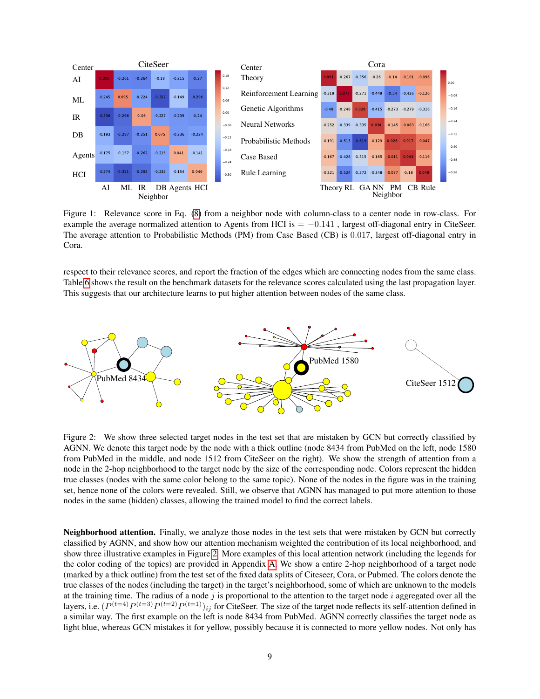

<span id="page-8-0"></span>Figure 1: Relevance score in Eq. [\(8\)](#page-7-2) from a neighbor node with column-class to a center node in row-class. For example the average normalized attention to Agents from HCI is  $= -0.141$ , largest off-diagonal entry in CiteSeer. The average attention to Probabilistic Methods (PM) from Case Based (CB) is 0.017, largest off-diagonal entry in Cora.

respect to their relevance scores, and report the fraction of the edges which are connecting nodes from the same class. Table [6](#page-7-3) shows the result on the benchmark datasets for the relevance scores calculated using the last propagation layer. This suggests that our architecture learns to put higher attention between nodes of the same class.



<span id="page-8-1"></span>Figure 2: We show three selected target nodes in the test set that are mistaken by GCN but correctly classified by AGNN. We denote this target node by the node with a thick outline (node 8434 from PubMed on the left, node 1580 from PubMed in the middle, and node 1512 from CiteSeer on the right). We show the strength of attention from a node in the 2-hop neighborhood to the target node by the size of the corresponding node. Colors represent the hidden true classes (nodes with the same color belong to the same topic). None of the nodes in the figure was in the training set, hence none of the colors were revealed. Still, we observe that AGNN has managed to put more attention to those nodes in the same (hidden) classes, allowing the trained model to find the correct labels.

Neighborhood attention. Finally, we analyze those nodes in the test sets that were mistaken by GCN but correctly classified by AGNN, and show how our attention mechanism weighted the contribution of its local neighborhood, and show three illustrative examples in Figure [2.](#page-8-1) More examples of this local attention network (including the legends for the color coding of the topics) are provided in Appendix [A.](#page-12-1) We show a entire 2-hop neighborhood of a target node (marked by a thick outline) from the test set of the fixed data splits of Citeseer, Cora, or Pubmed. The colors denote the true classes of the nodes (including the target) in the target's neighborhood, some of which are unknown to the models at the training time. The radius of a node  $j$  is proportional to the attention to the target node  $i$  aggregated over all the layers, i.e.  $(P^{(t=4)}P^{(t=3)}P^{(t=2)}P^{(t=1)})_{ij}$  for CiteSeer. The size of the target node reflects its self-attention defined in a similar way. The first example on the left is node 8434 from PubMed. AGNN correctly classifies the target node as light blue, whereas GCN mistakes it for yellow, possibly because it is connected to more yellow nodes. Not only has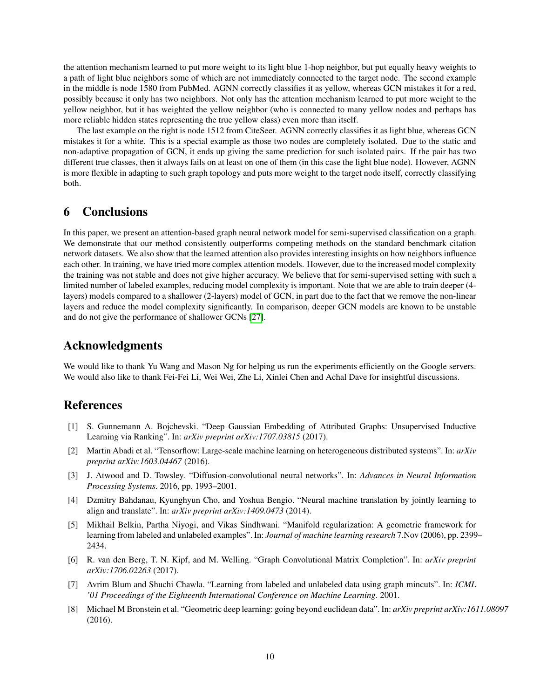the attention mechanism learned to put more weight to its light blue 1-hop neighbor, but put equally heavy weights to a path of light blue neighbors some of which are not immediately connected to the target node. The second example in the middle is node 1580 from PubMed. AGNN correctly classifies it as yellow, whereas GCN mistakes it for a red, possibly because it only has two neighbors. Not only has the attention mechanism learned to put more weight to the yellow neighbor, but it has weighted the yellow neighbor (who is connected to many yellow nodes and perhaps has more reliable hidden states representing the true yellow class) even more than itself.

The last example on the right is node 1512 from CiteSeer. AGNN correctly classifies it as light blue, whereas GCN mistakes it for a white. This is a special example as those two nodes are completely isolated. Due to the static and non-adaptive propagation of GCN, it ends up giving the same prediction for such isolated pairs. If the pair has two different true classes, then it always fails on at least on one of them (in this case the light blue node). However, AGNN is more flexible in adapting to such graph topology and puts more weight to the target node itself, correctly classifying both.

### 6 Conclusions

In this paper, we present an attention-based graph neural network model for semi-supervised classification on a graph. We demonstrate that our method consistently outperforms competing methods on the standard benchmark citation network datasets. We also show that the learned attention also provides interesting insights on how neighbors influence each other. In training, we have tried more complex attention models. However, due to the increased model complexity the training was not stable and does not give higher accuracy. We believe that for semi-supervised setting with such a limited number of labeled examples, reducing model complexity is important. Note that we are able to train deeper (4 layers) models compared to a shallower (2-layers) model of GCN, in part due to the fact that we remove the non-linear layers and reduce the model complexity significantly. In comparison, deeper GCN models are known to be unstable and do not give the performance of shallower GCNs [\[27\]](#page-10-0).

## Acknowledgments

We would like to thank Yu Wang and Mason Ng for helping us run the experiments efficiently on the Google servers. We would also like to thank Fei-Fei Li, Wei Wei, Zhe Li, Xinlei Chen and Achal Dave for insightful discussions.

## References

- <span id="page-9-2"></span>[1] S. Gunnemann A. Bojchevski. "Deep Gaussian Embedding of Attributed Graphs: Unsupervised Inductive Learning via Ranking". In: *arXiv preprint arXiv:1707.03815* (2017).
- <span id="page-9-7"></span>[2] Martin Abadi et al. "Tensorflow: Large-scale machine learning on heterogeneous distributed systems". In: *arXiv preprint arXiv:1603.04467* (2016).
- <span id="page-9-4"></span>[3] J. Atwood and D. Towsley. "Diffusion-convolutional neural networks". In: *Advances in Neural Information Processing Systems*. 2016, pp. 1993–2001.
- <span id="page-9-6"></span>[4] Dzmitry Bahdanau, Kyunghyun Cho, and Yoshua Bengio. "Neural machine translation by jointly learning to align and translate". In: *arXiv preprint arXiv:1409.0473* (2014).
- <span id="page-9-1"></span>[5] Mikhail Belkin, Partha Niyogi, and Vikas Sindhwani. "Manifold regularization: A geometric framework for learning from labeled and unlabeled examples". In: *Journal of machine learning research* 7.Nov (2006), pp. 2399– 2434.
- <span id="page-9-5"></span>[6] R. van den Berg, T. N. Kipf, and M. Welling. "Graph Convolutional Matrix Completion". In: *arXiv preprint arXiv:1706.02263* (2017).
- <span id="page-9-0"></span>[7] Avrim Blum and Shuchi Chawla. "Learning from labeled and unlabeled data using graph mincuts". In: *ICML '01 Proceedings of the Eighteenth International Conference on Machine Learning*. 2001.
- <span id="page-9-3"></span>[8] Michael M Bronstein et al. "Geometric deep learning: going beyond euclidean data". In: *arXiv preprint arXiv:1611.08097* (2016).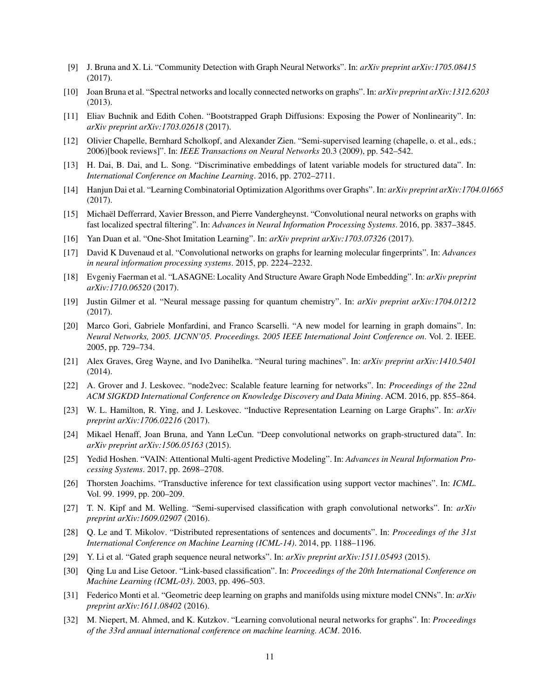- <span id="page-10-17"></span>[9] J. Bruna and X. Li. "Community Detection with Graph Neural Networks". In: *arXiv preprint arXiv:1705.08415* (2017).
- <span id="page-10-8"></span>[10] Joan Bruna et al. "Spectral networks and locally connected networks on graphs". In: *arXiv preprint arXiv:1312.6203* (2013).
- <span id="page-10-3"></span>[11] Eliav Buchnik and Edith Cohen. "Bootstrapped Graph Diffusions: Exposing the Power of Nonlinearity". In: *arXiv preprint arXiv:1703.02618* (2017).
- <span id="page-10-2"></span>[12] Olivier Chapelle, Bernhard Scholkopf, and Alexander Zien. "Semi-supervised learning (chapelle, o. et al., eds.; 2006)[book reviews]". In: *IEEE Transactions on Neural Networks* 20.3 (2009), pp. 542–542.
- <span id="page-10-13"></span>[13] H. Dai, B. Dai, and L. Song. "Discriminative embeddings of latent variable models for structured data". In: *International Conference on Machine Learning*. 2016, pp. 2702–2711.
- <span id="page-10-18"></span>[14] Hanjun Dai et al. "Learning Combinatorial Optimization Algorithms over Graphs". In: *arXiv preprint arXiv:1704.01665* (2017).
- <span id="page-10-12"></span>[15] Michael Defferrard, Xavier Bresson, and Pierre Vandergheynst. "Convolutional neural networks on graphs with ¨ fast localized spectral filtering". In: *Advances in Neural Information Processing Systems*. 2016, pp. 3837–3845.
- <span id="page-10-21"></span>[16] Yan Duan et al. "One-Shot Imitation Learning". In: *arXiv preprint arXiv:1703.07326* (2017).
- <span id="page-10-9"></span>[17] David K Duvenaud et al. "Convolutional networks on graphs for learning molecular fingerprints". In: *Advances in neural information processing systems*. 2015, pp. 2224–2232.
- <span id="page-10-6"></span>[18] Evgeniy Faerman et al. "LASAGNE: Locality And Structure Aware Graph Node Embedding". In: *arXiv preprint arXiv:1710.06520* (2017).
- <span id="page-10-16"></span>[19] Justin Gilmer et al. "Neural message passing for quantum chemistry". In: *arXiv preprint arXiv:1704.01212* (2017).
- <span id="page-10-7"></span>[20] Marco Gori, Gabriele Monfardini, and Franco Scarselli. "A new model for learning in graph domains". In: *Neural Networks, 2005. IJCNN'05. Proceedings. 2005 IEEE International Joint Conference on*. Vol. 2. IEEE. 2005, pp. 729–734.
- <span id="page-10-20"></span>[21] Alex Graves, Greg Wayne, and Ivo Danihelka. "Neural turing machines". In: *arXiv preprint arXiv:1410.5401* (2014).
- <span id="page-10-5"></span>[22] A. Grover and J. Leskovec. "node2vec: Scalable feature learning for networks". In: *Proceedings of the 22nd ACM SIGKDD International Conference on Knowledge Discovery and Data Mining*. ACM. 2016, pp. 855–864.
- <span id="page-10-15"></span>[23] W. L. Hamilton, R. Ying, and J. Leskovec. "Inductive Representation Learning on Large Graphs". In: *arXiv preprint arXiv:1706.02216* (2017).
- <span id="page-10-11"></span>[24] Mikael Henaff, Joan Bruna, and Yann LeCun. "Deep convolutional networks on graph-structured data". In: *arXiv preprint arXiv:1506.05163* (2015).
- <span id="page-10-22"></span>[25] Yedid Hoshen. "VAIN: Attentional Multi-agent Predictive Modeling". In: *Advances in Neural Information Processing Systems*. 2017, pp. 2698–2708.
- <span id="page-10-23"></span>[26] Thorsten Joachims. "Transductive inference for text classification using support vector machines". In: *ICML*. Vol. 99. 1999, pp. 200–209.
- <span id="page-10-0"></span>[27] T. N. Kipf and M. Welling. "Semi-supervised classification with graph convolutional networks". In: *arXiv preprint arXiv:1609.02907* (2016).
- <span id="page-10-4"></span>[28] Q. Le and T. Mikolov. "Distributed representations of sentences and documents". In: *Proceedings of the 31st International Conference on Machine Learning (ICML-14)*. 2014, pp. 1188–1196.
- <span id="page-10-10"></span>[29] Y. Li et al. "Gated graph sequence neural networks". In: *arXiv preprint arXiv:1511.05493* (2015).
- <span id="page-10-1"></span>[30] Qing Lu and Lise Getoor. "Link-based classification". In: *Proceedings of the 20th International Conference on Machine Learning (ICML-03)*. 2003, pp. 496–503.
- <span id="page-10-19"></span>[31] Federico Monti et al. "Geometric deep learning on graphs and manifolds using mixture model CNNs". In: *arXiv preprint arXiv:1611.08402* (2016).
- <span id="page-10-14"></span>[32] M. Niepert, M. Ahmed, and K. Kutzkov. "Learning convolutional neural networks for graphs". In: *Proceedings of the 33rd annual international conference on machine learning. ACM*. 2016.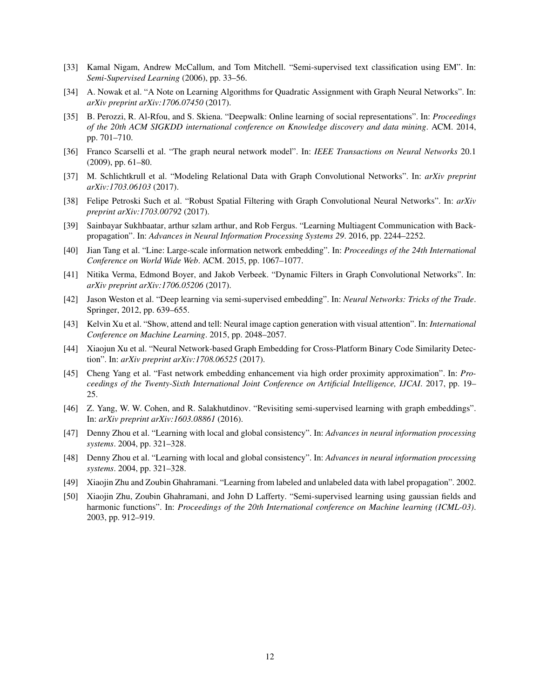- <span id="page-11-2"></span>[33] Kamal Nigam, Andrew McCallum, and Tom Mitchell. "Semi-supervised text classification using EM". In: *Semi-Supervised Learning* (2006), pp. 33–56.
- <span id="page-11-13"></span>[34] A. Nowak et al. "A Note on Learning Algorithms for Quadratic Assignment with Graph Neural Networks". In: *arXiv preprint arXiv:1706.07450* (2017).
- <span id="page-11-6"></span>[35] B. Perozzi, R. Al-Rfou, and S. Skiena. "Deepwalk: Online learning of social representations". In: *Proceedings of the 20th ACM SIGKDD international conference on Knowledge discovery and data mining*. ACM. 2014, pp. 701–710.
- <span id="page-11-9"></span>[36] Franco Scarselli et al. "The graph neural network model". In: *IEEE Transactions on Neural Networks* 20.1 (2009), pp. 61–80.
- <span id="page-11-12"></span>[37] M. Schlichtkrull et al. "Modeling Relational Data with Graph Convolutional Networks". In: *arXiv preprint arXiv:1703.06103* (2017).
- <span id="page-11-11"></span>[38] Felipe Petroski Such et al. "Robust Spatial Filtering with Graph Convolutional Neural Networks". In: *arXiv preprint arXiv:1703.00792* (2017).
- <span id="page-11-10"></span>[39] Sainbayar Sukhbaatar, arthur szlam arthur, and Rob Fergus. "Learning Multiagent Communication with Backpropagation". In: *Advances in Neural Information Processing Systems 29*. 2016, pp. 2244–2252.
- <span id="page-11-7"></span>[40] Jian Tang et al. "Line: Large-scale information network embedding". In: *Proceedings of the 24th International Conference on World Wide Web*. ACM. 2015, pp. 1067–1077.
- <span id="page-11-15"></span>[41] Nitika Verma, Edmond Boyer, and Jakob Verbeek. "Dynamic Filters in Graph Convolutional Networks". In: *arXiv preprint arXiv:1706.05206* (2017).
- <span id="page-11-4"></span>[42] Jason Weston et al. "Deep learning via semi-supervised embedding". In: *Neural Networks: Tricks of the Trade*. Springer, 2012, pp. 639–655.
- <span id="page-11-16"></span>[43] Kelvin Xu et al. "Show, attend and tell: Neural image caption generation with visual attention". In: *International Conference on Machine Learning*. 2015, pp. 2048–2057.
- <span id="page-11-14"></span>[44] Xiaojun Xu et al. "Neural Network-based Graph Embedding for Cross-Platform Binary Code Similarity Detection". In: *arXiv preprint arXiv:1708.06525* (2017).
- <span id="page-11-8"></span>[45] Cheng Yang et al. "Fast network embedding enhancement via high order proximity approximation". In: *Proceedings of the Twenty-Sixth International Joint Conference on Artificial Intelligence, IJCAI*. 2017, pp. 19– 25.
- <span id="page-11-5"></span>[46] Z. Yang, W. W. Cohen, and R. Salakhutdinov. "Revisiting semi-supervised learning with graph embeddings". In: *arXiv preprint arXiv:1603.08861* (2016).
- <span id="page-11-1"></span>[47] Denny Zhou et al. "Learning with local and global consistency". In: *Advances in neural information processing systems*. 2004, pp. 321–328.
- <span id="page-11-17"></span>[48] Denny Zhou et al. "Learning with local and global consistency". In: *Advances in neural information processing systems*. 2004, pp. 321–328.
- <span id="page-11-3"></span>[49] Xiaojin Zhu and Zoubin Ghahramani. "Learning from labeled and unlabeled data with label propagation". 2002.
- <span id="page-11-0"></span>[50] Xiaojin Zhu, Zoubin Ghahramani, and John D Lafferty. "Semi-supervised learning using gaussian fields and harmonic functions". In: *Proceedings of the 20th International conference on Machine learning (ICML-03)*. 2003, pp. 912–919.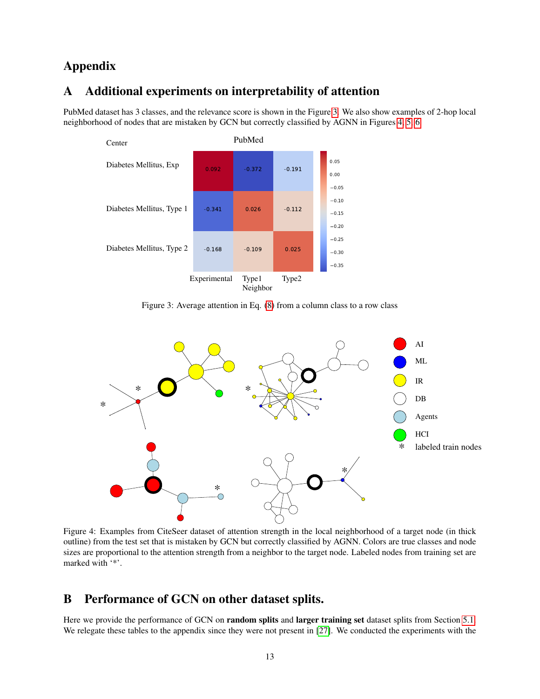## Appendix

### <span id="page-12-1"></span>A Additional experiments on interpretability of attention

PubMed dataset has 3 classes, and the relevance score is shown in the Figure [3.](#page-12-0) We also show examples of 2-hop local neighborhood of nodes that are mistaken by GCN but correctly classified by AGNN in Figures [4,](#page-12-2) [5,](#page-13-1) [6.](#page-14-0)



<span id="page-12-0"></span>Figure 3: Average attention in Eq. [\(8\)](#page-7-2) from a column class to a row class



Figure 4: Examples from CiteSeer dataset of attention strength in the local neighborhood of a target node (in thick outline) from the test set that is mistaken by GCN but correctly classified by AGNN. Colors are true classes and node sizes are proportional to the attention strength from a neighbor to the target node. Labeled nodes from training set are marked with '\*'.

## <span id="page-12-2"></span>B Performance of GCN on other dataset splits.

Here we provide the performance of GCN on **random splits** and **larger training set** dataset splits from Section [5.1.](#page-5-1) We relegate these tables to the appendix since they were not present in [\[27\]](#page-10-0). We conducted the experiments with the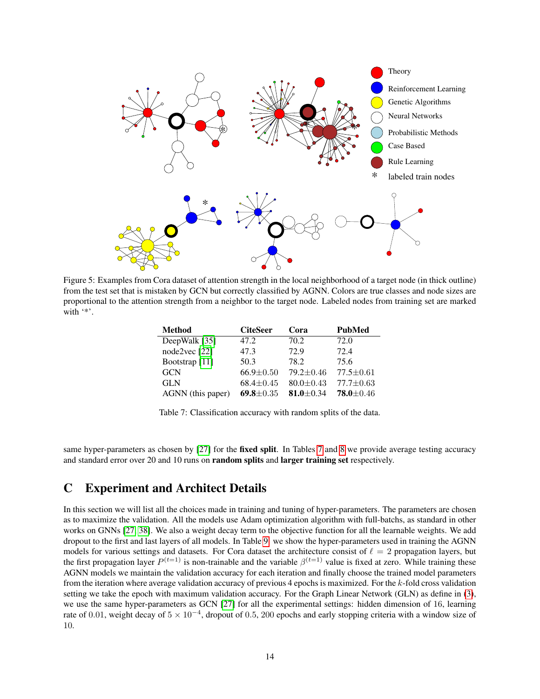

Figure 5: Examples from Cora dataset of attention strength in the local neighborhood of a target node (in thick outline) from the test set that is mistaken by GCN but correctly classified by AGNN. Colors are true classes and node sizes are proportional to the attention strength from a neighbor to the target node. Labeled nodes from training set are marked with '\*'.

<span id="page-13-2"></span><span id="page-13-1"></span>

| <b>Method</b>             | <b>CiteSeer</b> | Cora            | <b>PubMed</b>   |
|---------------------------|-----------------|-----------------|-----------------|
| DeepWalk [35]             | 47.2            | 70.2            | 72.0            |
| node2vec [22]             | 47.3            | 72.9            | 72.4            |
| Bootstrap <sup>[11]</sup> | 50.3            | 78.2            | 75.6            |
| <b>GCN</b>                | $66.9 \pm 0.50$ | $79.2 \pm 0.46$ | $77.5 \pm 0.61$ |
| <b>GLN</b>                | $68.4 \pm 0.45$ | $80.0 \pm 0.43$ | $77.7 \pm 0.63$ |
| AGNN (this paper)         | 69.8 $\pm$ 0.35 | 81.0 $\pm$ 0.34 | $78.0 \pm 0.46$ |

Table 7: Classification accuracy with random splits of the data.

same hyper-parameters as chosen by [\[27\]](#page-10-0) for the **fixed split**. In Tables [7](#page-13-2) and [8](#page-14-1) we provide average testing accuracy and standard error over 20 and 10 runs on random splits and larger training set respectively.

### <span id="page-13-0"></span>C Experiment and Architect Details

In this section we will list all the choices made in training and tuning of hyper-parameters. The parameters are chosen as to maximize the validation. All the models use Adam optimization algorithm with full-batchs, as standard in other works on GNNs [\[27,](#page-10-0) [38\]](#page-11-11). We also a weight decay term to the objective function for all the learnable weights. We add dropout to the first and last layers of all models. In Table [9.](#page-14-2) we show the hyper-parameters used in training the AGNN models for various settings and datasets. For Cora dataset the architecture consist of  $\ell = 2$  propagation layers, but the first propagation layer  $P^{(t=1)}$  is non-trainable and the variable  $\beta^{(t=1)}$  value is fixed at zero. While training these AGNN models we maintain the validation accuracy for each iteration and finally choose the trained model parameters from the iteration where average validation accuracy of previous 4 epochs is maximized. For the  $k$ -fold cross validation setting we take the epoch with maximum validation accuracy. For the Graph Linear Network (GLN) as define in [\(3\)](#page-3-2), we use the same hyper-parameters as GCN [\[27\]](#page-10-0) for all the experimental settings: hidden dimension of 16, learning rate of 0.01, weight decay of  $5 \times 10^{-4}$ , dropout of 0.5, 200 epochs and early stopping criteria with a window size of 10.